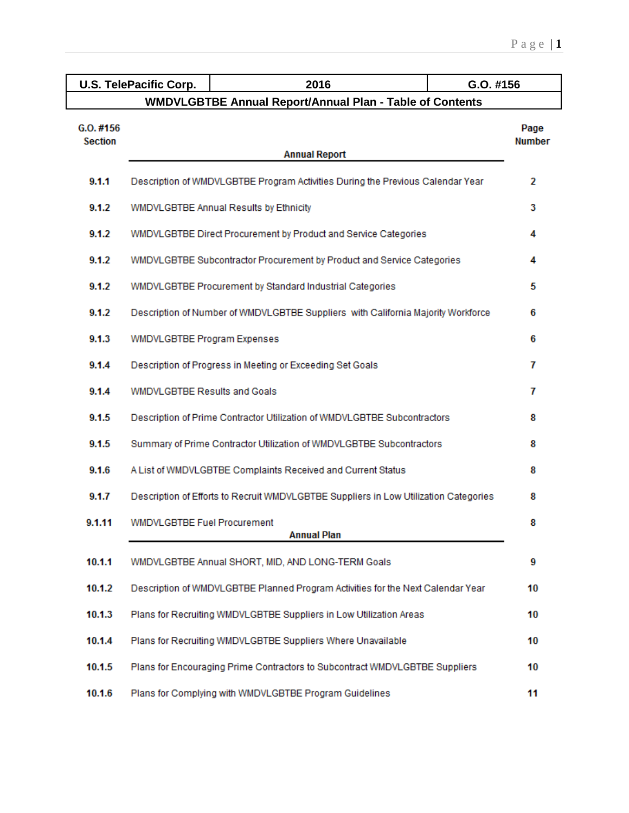|                               | 2016<br><b>U.S. TelePacific Corp.</b><br>G.O. #156                                   |                                                                                  |                       |  |  |
|-------------------------------|--------------------------------------------------------------------------------------|----------------------------------------------------------------------------------|-----------------------|--|--|
|                               |                                                                                      | <b>WMDVLGBTBE Annual Report/Annual Plan - Table of Contents</b>                  |                       |  |  |
| $G.0.$ #156<br><b>Section</b> |                                                                                      | <b>Annual Report</b>                                                             | Page<br><b>Number</b> |  |  |
| 9.1.1                         |                                                                                      | Description of WMDVLGBTBE Program Activities During the Previous Calendar Year   | 2                     |  |  |
| 9.1.2                         |                                                                                      | WMDVLGBTBE Annual Results by Ethnicity                                           | 3                     |  |  |
| 9.1.2                         |                                                                                      | WMDVLGBTBE Direct Procurement by Product and Service Categories                  | 4                     |  |  |
| 9.1.2                         |                                                                                      | WMDVLGBTBE Subcontractor Procurement by Product and Service Categories           | 4                     |  |  |
| 9.1.2                         | WMDVLGBTBE Procurement by Standard Industrial Categories<br>5                        |                                                                                  |                       |  |  |
| 9.1.2                         |                                                                                      | Description of Number of WMDVLGBTBE Suppliers with California Majority Workforce | 6                     |  |  |
| 9.1.3                         | WMDVLGBTBE Program Expenses                                                          |                                                                                  | 6                     |  |  |
| 9.1.4                         |                                                                                      | Description of Progress in Meeting or Exceeding Set Goals                        | 7                     |  |  |
| 9.1.4                         | <b>WMDVLGBTBE Results and Goals</b>                                                  |                                                                                  | 7                     |  |  |
| 9.1.5                         |                                                                                      | Description of Prime Contractor Utilization of WMDVLGBTBE Subcontractors         | 8                     |  |  |
| 9.1.5                         |                                                                                      | Summary of Prime Contractor Utilization of WMDVLGBTBE Subcontractors             | 8                     |  |  |
| 9.1.6                         | A List of WMDVLGBTBE Complaints Received and Current Status<br>8                     |                                                                                  |                       |  |  |
| 9.1.7                         | Description of Efforts to Recruit WMDVLGBTBE Suppliers in Low Utilization Categories |                                                                                  |                       |  |  |
| 9.1.11                        | <b>WMDVLGBTBE Fuel Procurement</b>                                                   | <b>Annual Plan</b>                                                               | 8                     |  |  |
| 10.1.1                        |                                                                                      | WMDVLGBTBE Annual SHORT, MID, AND LONG-TERM Goals                                | 9                     |  |  |
| 10.1.2                        |                                                                                      | Description of WMDVLGBTBE Planned Program Activities for the Next Calendar Year  | 10                    |  |  |
| 10.1.3                        |                                                                                      | Plans for Recruiting WMDVLGBTBE Suppliers in Low Utilization Areas               | 10                    |  |  |
| 10.1.4                        |                                                                                      | Plans for Recruiting WMDVLGBTBE Suppliers Where Unavailable                      | 10                    |  |  |
| 10.1.5                        |                                                                                      | Plans for Encouraging Prime Contractors to Subcontract WMDVLGBTBE Suppliers      | 10                    |  |  |
| 10.1.6                        |                                                                                      | Plans for Complying with WMDVLGBTBE Program Guidelines                           | 11                    |  |  |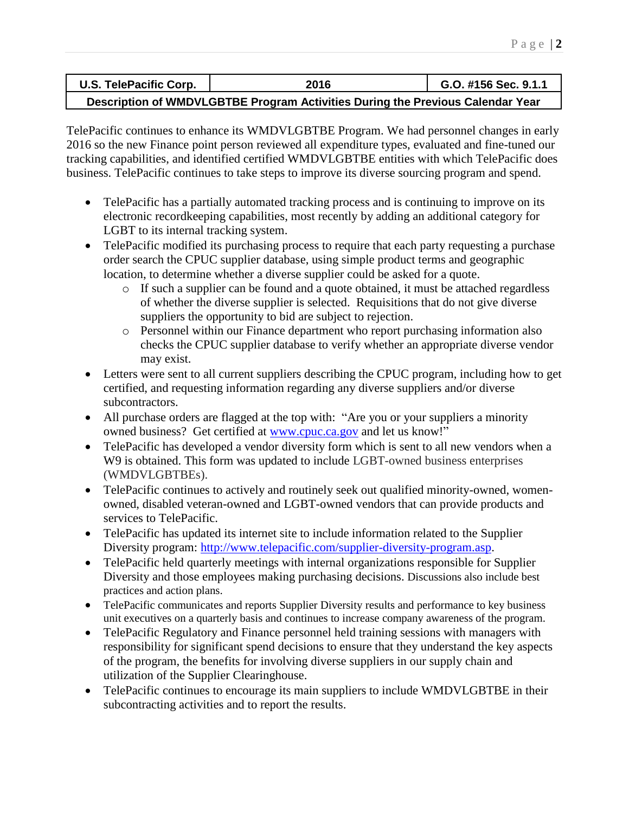| U.S. TelePacific Corp. | 2016                                                                           | G.O. #156 Sec. 9.1.1 |
|------------------------|--------------------------------------------------------------------------------|----------------------|
|                        | Description of WMDVLGBTBE Program Activities During the Previous Calendar Year |                      |

TelePacific continues to enhance its WMDVLGBTBE Program. We had personnel changes in early 2016 so the new Finance point person reviewed all expenditure types, evaluated and fine-tuned our tracking capabilities, and identified certified WMDVLGBTBE entities with which TelePacific does business. TelePacific continues to take steps to improve its diverse sourcing program and spend.

- TelePacific has a partially automated tracking process and is continuing to improve on its electronic recordkeeping capabilities, most recently by adding an additional category for LGBT to its internal tracking system.
- TelePacific modified its purchasing process to require that each party requesting a purchase order search the CPUC supplier database, using simple product terms and geographic location, to determine whether a diverse supplier could be asked for a quote.
	- o If such a supplier can be found and a quote obtained, it must be attached regardless of whether the diverse supplier is selected. Requisitions that do not give diverse suppliers the opportunity to bid are subject to rejection.
	- o Personnel within our Finance department who report purchasing information also checks the CPUC supplier database to verify whether an appropriate diverse vendor may exist.
- Letters were sent to all current suppliers describing the CPUC program, including how to get certified, and requesting information regarding any diverse suppliers and/or diverse subcontractors.
- All purchase orders are flagged at the top with: "Are you or your suppliers a minority owned business? Get certified at [www.cpuc.ca.gov](http://www.cpuc.ca.gov/) and let us know!"
- TelePacific has developed a vendor diversity form which is sent to all new vendors when a W9 is obtained. This form was updated to include LGBT-owned business enterprises (WMDVLGBTBEs).
- TelePacific continues to actively and routinely seek out qualified minority-owned, womenowned, disabled veteran-owned and LGBT-owned vendors that can provide products and services to TelePacific.
- TelePacific has updated its internet site to include information related to the Supplier Diversity program: [http://www.telepacific.com/supplier-diversity-program.asp.](http://www.telepacific.com/supplier-diversity-program.asp)
- TelePacific held quarterly meetings with internal organizations responsible for Supplier Diversity and those employees making purchasing decisions. Discussions also include best practices and action plans.
- TelePacific communicates and reports Supplier Diversity results and performance to key business unit executives on a quarterly basis and continues to increase company awareness of the program.
- TelePacific Regulatory and Finance personnel held training sessions with managers with responsibility for significant spend decisions to ensure that they understand the key aspects of the program, the benefits for involving diverse suppliers in our supply chain and utilization of the Supplier Clearinghouse.
- TelePacific continues to encourage its main suppliers to include WMDVLGBTBE in their subcontracting activities and to report the results.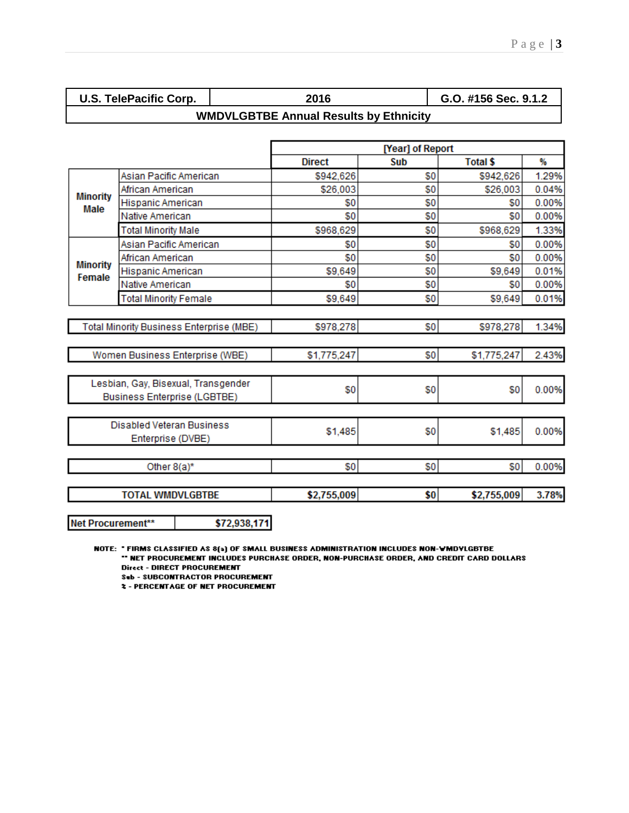| <b>U.S. TelePacific Corp.</b> |  |
|-------------------------------|--|
|-------------------------------|--|

**U.S. TelePacific Corp. 2016 G.O. #156 Sec. 9.1.2**

## **WMDVLGBTBE Annual Results by Ethnicity**

|                                  |                                                                            |               | [Year] of Report |                 |       |
|----------------------------------|----------------------------------------------------------------------------|---------------|------------------|-----------------|-------|
|                                  |                                                                            | <b>Direct</b> | Sub              | <b>Total \$</b> | %     |
|                                  | Asian Pacific American                                                     | \$942,626     | \$0              | \$942,626       | 1.29% |
| <b>Minority</b>                  | African American                                                           | \$26,003      | \$0              | \$26,003        | 0.04% |
| Male                             | Hispanic American                                                          | \$0           | \$0              | \$0             | 0.00% |
|                                  | Native American                                                            | \$0           | \$0              | \$0             | 0.00% |
|                                  | <b>Total Minority Male</b>                                                 | \$968,629     | \$0              | \$968,629       | 1.33% |
|                                  | Asian Pacific American                                                     | \$0           | \$0              | \$0             | 0.00% |
|                                  | African American                                                           | \$0           | \$0              | \$0             | 0.00% |
| <b>Minority</b><br>Female        | Hispanic American                                                          | \$9,649       | \$0              | \$9,649         | 0.01% |
|                                  | Native American                                                            | \$0           | \$0              | \$0             | 0.00% |
|                                  | <b>Total Minority Female</b>                                               | \$9,649       | \$0              | \$9,649         | 0.01% |
|                                  |                                                                            |               |                  |                 |       |
|                                  | Total Minority Business Enterprise (MBE)                                   | \$978,278     | \$0              | \$978,278       | 1.34% |
|                                  |                                                                            |               |                  |                 |       |
|                                  | Women Business Enterprise (WBE)                                            | \$1,775,247   | \$0              | \$1,775,247     | 2.43% |
|                                  |                                                                            |               |                  |                 |       |
|                                  | Lesbian, Gay, Bisexual, Transgender<br><b>Business Enterprise (LGBTBE)</b> | \$0           | \$0              | \$0             | 0.00% |
|                                  |                                                                            |               |                  |                 |       |
| <b>Disabled Veteran Business</b> |                                                                            | \$1,485       | \$0              | \$1,485         | 0.00% |
| Enterprise (DVBE)                |                                                                            |               |                  |                 |       |
| Other $8(a)^*$                   |                                                                            | \$0           | \$0              | \$0             | 0.00% |
|                                  |                                                                            |               |                  |                 |       |
|                                  | <b>TOTAL WMDVLGBTBE</b>                                                    | \$2,755,009   | \$0              | \$2,755,009     | 3.78% |
| Net Procurement**                | \$72,938,171                                                               |               |                  |                 |       |

NOTE: "FIRMS CLASSIFIED AS 8(a) OF SMALL BUSINESS ADMINISTRATION INCLUDES NON-WMDVLGBTBE \*\* NET PROCUREMENT INCLUDES PURCHASE ORDER, NON-PURCHASE ORDER, AND CREDIT CARD DOLLARS **Direct - DIRECT PROCUREMENT** 

**Sub - SUBCONTRACTOR PROCUREMENT** 

**2 - PERCENTAGE OF NET PROCUREMENT**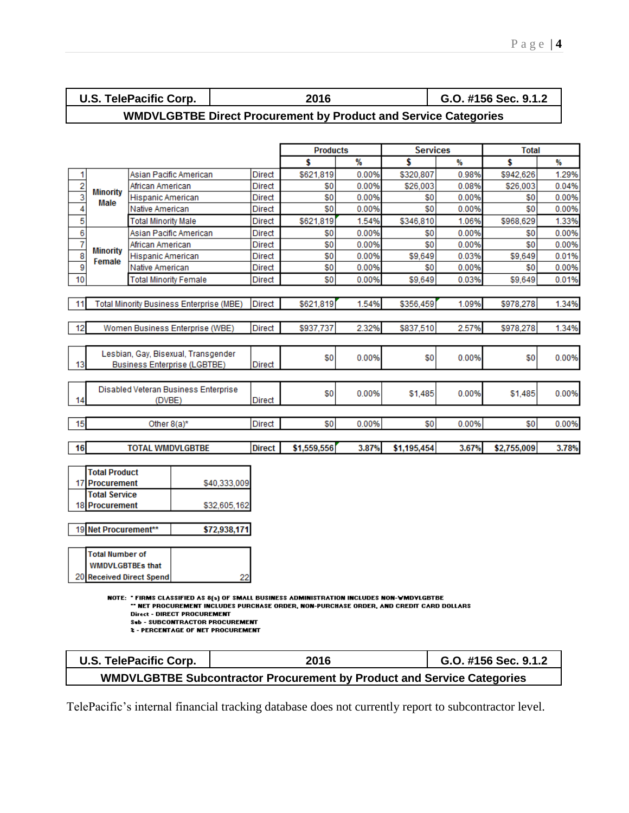| <b>TelePacific Corp.</b><br>U.S.      | . גם ה | G.O. #156 Sec. 9.1.2 |  |
|---------------------------------------|--------|----------------------|--|
| ---- <i>--</i> ---- <del>---</del> -- |        |                      |  |

## **WMDVLGBTBE Direct Procurement by Product and Service Categories**

|                           |                      |                                                 |               | <b>Products</b> |       | <b>Services</b> |       | <b>Total</b> |       |
|---------------------------|----------------------|-------------------------------------------------|---------------|-----------------|-------|-----------------|-------|--------------|-------|
|                           |                      |                                                 |               | \$              | %     | \$              | ₩     | \$           | ₩     |
| 1                         |                      | Asian Pacific American                          | Direct        | \$621,819       | 0.00% | \$320.807       | 0.98% | \$942,626    | 1.29% |
| $\overline{2}$            | <b>Minority</b>      | African American                                | Direct        | \$0             | 0.00% | \$26,003        | 0.08% | \$26,003     | 0.04% |
| $\overline{\overline{3}}$ | Male                 | Hispanic American                               | Direct        | \$0             | 0.00% | \$0             | 0.00% | \$0          | 0.00% |
| 4                         |                      | Native American                                 | Direct        | \$0             | 0.00% | \$0             | 0.00% | \$0          | 0.00% |
| 5                         |                      | <b>Total Minority Male</b>                      | Direct        | \$621,819       | 1.54% | \$346,810       | 1.06% | \$968,629    | 1.33% |
| 6                         |                      | Asian Pacific American                          | <b>Direct</b> | \$0             | 0.00% | \$0             | 0.00% | \$0          | 0.00% |
| 7                         | <b>Minority</b>      | African American                                | Direct        | \$0             | 0.00% | \$0             | 0.00% | \$0          | 0.00% |
| $\overline{\mathbf{8}}$   | Female               | <b>Hispanic American</b>                        | Direct        | \$0             | 0.00% | \$9,649         | 0.03% | \$9,649      | 0.01% |
| $\overline{9}$            |                      | Native American                                 | Direct        | \$0             | 0.00% | \$0             | 0.00% | \$0          | 0.00% |
| 10                        |                      | <b>Total Minority Female</b>                    | Direct        | \$0             | 0.00% | \$9,649         | 0.03% | \$9,649      | 0.01% |
|                           |                      |                                                 |               |                 |       |                 |       |              |       |
| 11                        |                      | <b>Total Minority Business Enterprise (MBE)</b> | <b>Direct</b> | \$621,819       | 1.54% | \$356,459       | 1.09% | \$978,278    | 1.34% |
|                           |                      |                                                 |               |                 |       |                 |       |              |       |
| 12                        |                      | Women Business Enterprise (WBE)                 | Direct        | \$937,737       | 2.32% | \$837,510       | 2.57% | \$978,278    | 1.34% |
|                           |                      |                                                 |               |                 |       |                 |       |              |       |
|                           |                      | Lesbian, Gay, Bisexual, Transgender             |               | \$O             | 0.00% | \$0             | 0.00% | \$0          | 0.00% |
| 13                        |                      | <b>Business Enterprise (LGBTBE)</b>             | Direct        |                 |       |                 |       |              |       |
|                           |                      |                                                 |               |                 |       |                 |       |              |       |
|                           |                      | Disabled Veteran Business Enterprise            |               | \$0             | 0.00% | \$1,485         | 0.00% | \$1,485      | 0.00% |
| 14                        |                      | (DVBE)                                          | <b>Direct</b> |                 |       |                 |       |              |       |
|                           |                      |                                                 |               |                 |       |                 |       |              |       |
| 15                        |                      | Other $8(a)^*$                                  | <b>Direct</b> | \$0             | 0.00% | \$0             | 0.00% | \$0          | 0.00% |
|                           |                      |                                                 |               |                 |       |                 |       |              |       |
| 16                        |                      | <b>TOTAL WMDVLGBTBE</b>                         | <b>Direct</b> | \$1,559,556     | 3.87% | \$1,195,454     | 3.67% | \$2,755,009  | 3.78% |
|                           |                      |                                                 |               |                 |       |                 |       |              |       |
|                           | <b>Total Product</b> |                                                 |               |                 |       |                 |       |              |       |
|                           | 17 Procurement       | \$40,333,009                                    |               |                 |       |                 |       |              |       |
|                           | <b>Total Service</b> |                                                 |               |                 |       |                 |       |              |       |
|                           | 18 Procurement       | \$32,605,162                                    |               |                 |       |                 |       |              |       |

19 Net Procurement\*\* \$72,938,171

| Total Number of          |  |
|--------------------------|--|
| <b>WMDVLGBTBEs that</b>  |  |
| 20 Received Direct Spend |  |

NOTE: "FIRMS CLASSIFIED AS 8(a) OF SMALL BUSINESS ADMINISTRATION INCLUDES NON-WMDYLGBTBE<br>"NET PROCUREMENT INCLUDES PURCHASE ORDER, NON-PURCHASE ORDER, AND CREDIT CARD DOLLARS"

- **Direct DIRECT PROCUREMENT Seb - SUBCONTRACTOR PROCUREMENT**
- **2 PERCENTAGE OF NET PROCUREMENT**

| U.S. TelePacific Corp. | 2016                                                                          | G.O. #156 Sec. 9.1.2 |
|------------------------|-------------------------------------------------------------------------------|----------------------|
|                        | <b>WMDVLGBTBE Subcontractor Procurement by Product and Service Categories</b> |                      |

TelePacific's internal financial tracking database does not currently report to subcontractor level.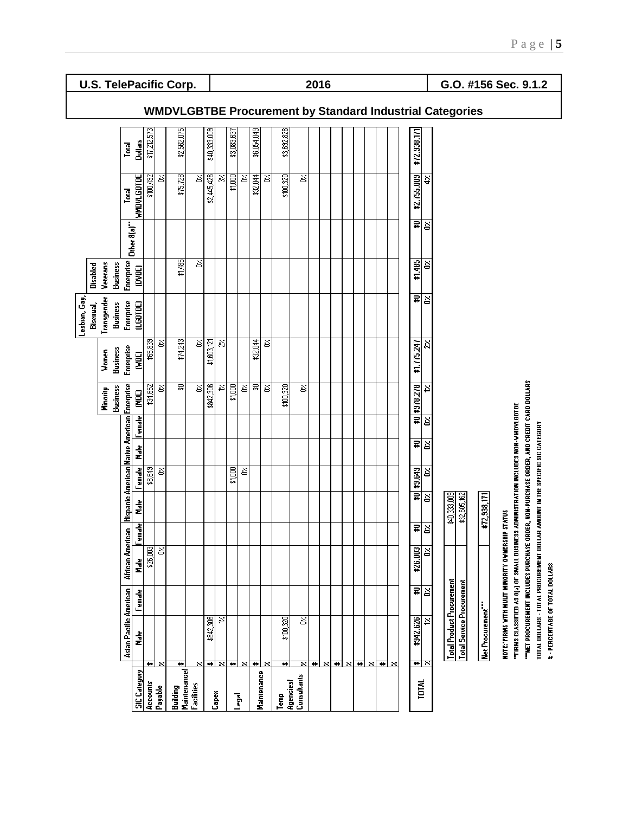**U.S. TelePacific Corp. 2016 G.O. #156 Sec. 9.1.2**

|                                |                                                                                       |        |                  |                         |              |                                              |         |        |                             |                          | Lesbian, Gay            |                             |             |                   |                |                                                                 |
|--------------------------------|---------------------------------------------------------------------------------------|--------|------------------|-------------------------|--------------|----------------------------------------------|---------|--------|-----------------------------|--------------------------|-------------------------|-----------------------------|-------------|-------------------|----------------|-----------------------------------------------------------------|
|                                |                                                                                       |        |                  |                         |              |                                              |         |        |                             |                          | Bisexual,               | Disabled                    |             |                   |                |                                                                 |
|                                |                                                                                       |        |                  |                         |              |                                              |         |        | <b>Business</b><br>Minority | Business<br>Women        | Transgender<br>Business | Veterans<br><b>Business</b> |             |                   |                |                                                                 |
|                                | Asian Pacific American                                                                |        | African American |                         |              | Hispanic American Native American Enterprise |         |        |                             | <b>Enterprise</b>        | Enterprise              | Enterprise                  |             | Total             | Total          |                                                                 |
| <b>SIC</b> Category            | å                                                                                     | Female | e<br>E           | Female                  | n<br>E       | $[$ Female                                   | i.<br>E | Female | (MBE)                       | <b>GBE)</b>              | (LGBTBE)                | (DVBE)                      | Other 8(a)" | <b>WHOVLGBTBE</b> | <b>Dollars</b> |                                                                 |
| Accounts                       | ٠                                                                                     |        | \$26,003         |                         |              | \$8,649                                      |         |        | \$34,652                    | \$65,839                 |                         |                             |             | \$100,492         | \$17,212,573   |                                                                 |
| Payable                        | ×                                                                                     |        | Š                |                         |              | δ,                                           |         |        | ਠ                           | S                        |                         |                             |             | š                 |                |                                                                 |
| <b>Maintenance</b><br>Building | ₩                                                                                     |        |                  |                         |              |                                              |         |        | ਛ                           | \$74,243                 |                         | \$1,485                     |             | \$75,728          | \$2,562,075    |                                                                 |
| Facilities                     | ×                                                                                     |        |                  |                         |              |                                              |         |        | $\overline{\mathcal{S}}$    | S                        |                         | Š                           |             | š                 |                |                                                                 |
|                                | \$842,306                                                                             |        |                  |                         |              |                                              |         |        | \$842,306                   | \$1,603,121              |                         |                             |             | \$2,445,426       | \$40,333,009   |                                                                 |
| Capex                          | Σ,<br>$\frac{}{\ast}$                                                                 |        |                  |                         |              |                                              |         |        | Σ,                          | $\overline{\mathcal{Z}}$ |                         |                             |             | న                 |                |                                                                 |
|                                | ₩                                                                                     |        |                  |                         |              | \$1,000                                      |         |        | \$1,000                     |                          |                         |                             |             | \$1,000           | \$3,083,637    |                                                                 |
| ا <b>و</b> وما                 | ×                                                                                     |        |                  |                         |              | Š                                            |         |        | Σ                           |                          |                         |                             |             | š                 |                |                                                                 |
|                                | $\overline{\bullet}$                                                                  |        |                  |                         |              |                                              |         |        | হ্ল                         | \$32,044                 |                         |                             |             | \$32,044          | \$6,054,049    |                                                                 |
| Maintenance                    | $\boldsymbol{\mathsf{x}}$                                                             |        |                  |                         |              |                                              |         |        | ੇਂ                          | Š                        |                         |                             |             | š                 |                |                                                                 |
| Temp                           | \$100,320<br>₩                                                                        |        |                  |                         |              |                                              |         |        | \$100,320                   |                          |                         |                             |             | \$100,320         | \$3,692,828    |                                                                 |
| Consultants<br>Agencies        | Š<br>$\overline{\mathbf{x}}$                                                          |        |                  |                         |              |                                              |         |        | ੇਂ                          |                          |                         |                             |             | š                 |                |                                                                 |
|                                | ≖                                                                                     |        |                  |                         |              |                                              |         |        |                             |                          |                         |                             |             |                   |                |                                                                 |
|                                | $\boldsymbol{\mathsf{x}}$                                                             |        |                  |                         |              |                                              |         |        |                             |                          |                         |                             |             |                   |                |                                                                 |
|                                | ₩                                                                                     |        |                  |                         |              |                                              |         |        |                             |                          |                         |                             |             |                   |                |                                                                 |
|                                | $\boldsymbol{\mathsf{x}}$                                                             |        |                  |                         |              |                                              |         |        |                             |                          |                         |                             |             |                   |                |                                                                 |
|                                | <sub>₩</sub>                                                                          |        |                  |                         |              |                                              |         |        |                             |                          |                         |                             |             |                   |                |                                                                 |
|                                | $\boldsymbol{\mathsf{x}}$                                                             |        |                  |                         |              |                                              |         |        |                             |                          |                         |                             |             |                   |                |                                                                 |
|                                | <sub>₩</sub><br>$\boldsymbol{\mathsf{x}}$                                             |        |                  |                         |              |                                              |         |        |                             |                          |                         |                             |             |                   |                | <b>WMDVLGBTBE Procurement by Standard Industrial Categories</b> |
|                                |                                                                                       |        |                  |                         |              |                                              |         |        |                             |                          |                         |                             |             |                   |                |                                                                 |
| TOTAL                          | \$942,626<br>নাম                                                                      | 힘      | ត្ត្រូ<br>ង្     | $\overline{\mathbf{r}}$ |              | \$0 \$3,649                                  | 힘       |        | \$0 \$378,278               | \$1,775,247              | 힘                       | \$1,485                     | 힘           | \$2,755,009       | \$72,938,171   |                                                                 |
|                                | ż                                                                                     |        | š                | Š                       | Š            | Š                                            |         | İΣ     | ₽                           | ž,                       |                         | š                           |             | ÷                 |                |                                                                 |
|                                | <b>Total Product Procurement</b>                                                      |        |                  |                         | \$40,333,009 |                                              |         |        |                             |                          |                         |                             |             |                   |                |                                                                 |
|                                | <b>Total Service Procurement</b>                                                      |        |                  |                         | \$32,605,162 |                                              |         |        |                             |                          |                         |                             |             |                   |                |                                                                 |
|                                |                                                                                       |        |                  |                         |              |                                              |         |        |                             |                          |                         |                             |             |                   |                |                                                                 |
|                                | Net Procurement"                                                                      |        |                  |                         | \$72,938,171 |                                              |         |        |                             |                          |                         |                             |             |                   |                |                                                                 |
|                                | NOTE: "FIRMS WITH MULT MINORITY                                                       |        |                  | <b>OVNERSHIP STATUS</b> |              |                                              |         |        |                             |                          |                         |                             |             |                   |                |                                                                 |
|                                | "FIRMS CLASSIFIED AS 8(3) OF SMALL BUSINESS ADMINISTRATION INCLUDES NON-WHOYLGBTBE    |        |                  |                         |              |                                              |         |        |                             |                          |                         |                             |             |                   |                |                                                                 |
|                                | "HET PROCUREMENT INCLUDES PURCHASE ORDER, NON-PURCHASE ORDER, AND CREDIT CARD DOLLARS |        |                  |                         |              |                                              |         |        |                             |                          |                         |                             |             |                   |                |                                                                 |
|                                | TOTAL DOLLARS - TOTAL PROCUREMENT DOLLAR AMOUNT IN THE SPECIFIC SIC CATEGORY          |        |                  |                         |              |                                              |         |        |                             |                          |                         |                             |             |                   |                |                                                                 |
|                                | 2 - PERCENTAGE OF TOTAL DOLLARS                                                       |        |                  |                         |              |                                              |         |        |                             |                          |                         |                             |             |                   |                |                                                                 |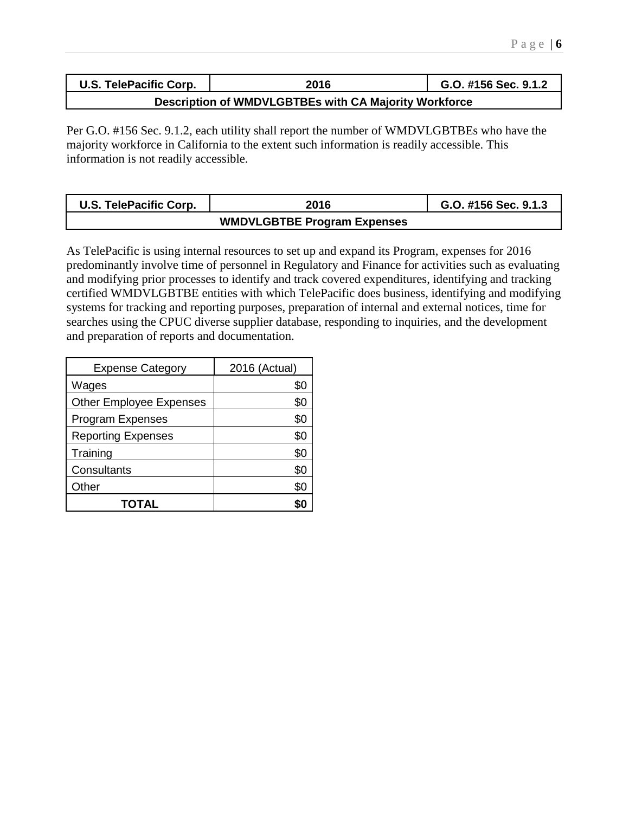| U.S. TelePacific Corp. | 2016                                                  | G.O. #156 Sec. 9.1.2 |
|------------------------|-------------------------------------------------------|----------------------|
|                        | Description of WMDVLGBTBEs with CA Majority Workforce |                      |

Per G.O. #156 Sec. 9.1.2, each utility shall report the number of WMDVLGBTBEs who have the majority workforce in California to the extent such information is readily accessible. This information is not readily accessible.

| U.S. TelePacific Corp. | 2016                               | G.O. #156 Sec. 9.1.3 |
|------------------------|------------------------------------|----------------------|
|                        | <b>WMDVLGBTBE Program Expenses</b> |                      |

As TelePacific is using internal resources to set up and expand its Program, expenses for 2016 predominantly involve time of personnel in Regulatory and Finance for activities such as evaluating and modifying prior processes to identify and track covered expenditures, identifying and tracking certified WMDVLGBTBE entities with which TelePacific does business, identifying and modifying systems for tracking and reporting purposes, preparation of internal and external notices, time for searches using the CPUC diverse supplier database, responding to inquiries, and the development and preparation of reports and documentation.

| <b>Expense Category</b>        | 2016 (Actual) |
|--------------------------------|---------------|
| Wages                          | \$0           |
| <b>Other Employee Expenses</b> | \$0           |
| <b>Program Expenses</b>        | \$0           |
| <b>Reporting Expenses</b>      | \$0           |
| Training                       | \$0           |
| Consultants                    | \$0           |
| Other                          | \$0           |
| TOTAL                          |               |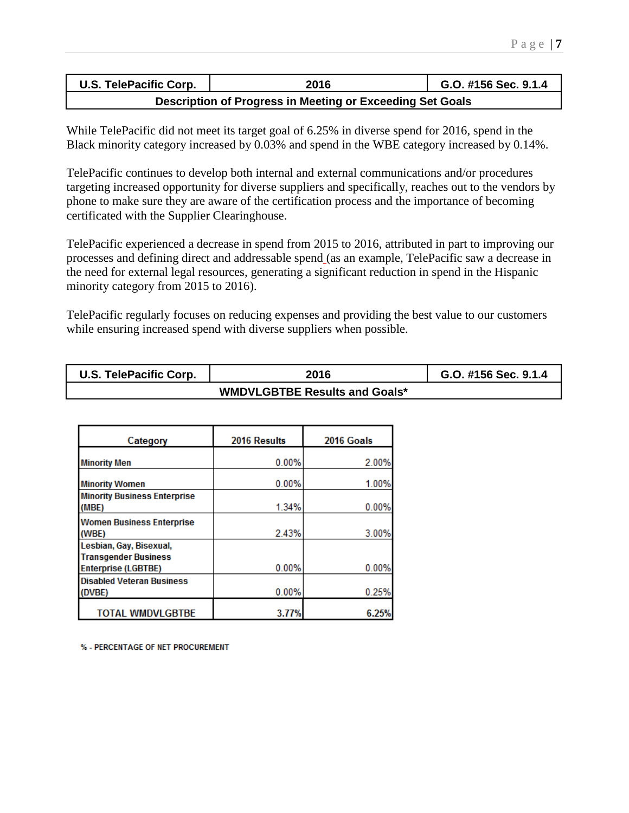| U.S. TelePacific Corp.                                    | G.O. #156 Sec. 9.1.4 |  |  |  |  |
|-----------------------------------------------------------|----------------------|--|--|--|--|
| Description of Progress in Meeting or Exceeding Set Goals |                      |  |  |  |  |

While TelePacific did not meet its target goal of 6.25% in diverse spend for 2016, spend in the Black minority category increased by 0.03% and spend in the WBE category increased by 0.14%.

TelePacific continues to develop both internal and external communications and/or procedures targeting increased opportunity for diverse suppliers and specifically, reaches out to the vendors by phone to make sure they are aware of the certification process and the importance of becoming certificated with the Supplier Clearinghouse.

TelePacific experienced a decrease in spend from 2015 to 2016, attributed in part to improving our processes and defining direct and addressable spend (as an example, TelePacific saw a decrease in the need for external legal resources, generating a significant reduction in spend in the Hispanic minority category from 2015 to 2016).

TelePacific regularly focuses on reducing expenses and providing the best value to our customers while ensuring increased spend with diverse suppliers when possible.

| U.S. TelePacific Corp. | 2016 | G.O. #156 Sec. 9.1.4 |  |  |  |
|------------------------|------|----------------------|--|--|--|
|                        |      |                      |  |  |  |

| Category                                                  | 2016 Results | 2016 Goals |
|-----------------------------------------------------------|--------------|------------|
| <b>Minority Men</b>                                       | 0.00%        | 2.00%      |
| <b>Minority Women</b>                                     | 0.00%        | 1.00%      |
| <b>Minority Business Enterprise</b><br>(MBE)              | 1.34%        | 0.00%      |
| <b>Women Business Enterprise</b>                          |              |            |
| (WBE)<br>Lesbian, Gay, Bisexual,                          | 2.43%        | 3.00%      |
| <b>Transgender Business</b><br><b>Enterprise (LGBTBE)</b> | 0.00%        | 0.00%      |
| <b>Disabled Veteran Business</b><br>(DVBE)                | 0.00%        | 0.25%      |
| <b>TOTAL WMDVLGBTBE</b>                                   | 3.77%        | 6.25%      |

% - PERCENTAGE OF NET PROCUREMENT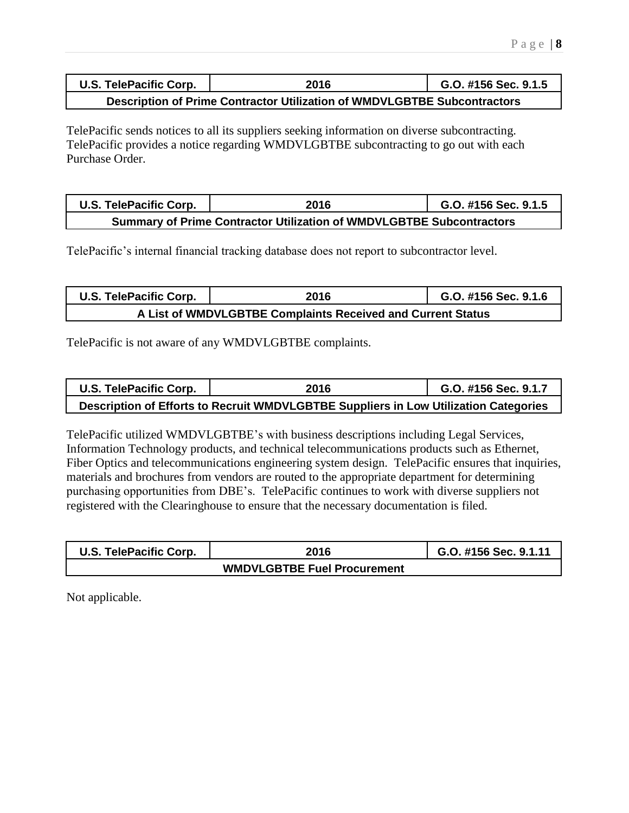| <b>U.S. TelePacific Corp.</b>                                            | 2016 | G.O. #156 Sec. 9.1.5 |  |  |  |
|--------------------------------------------------------------------------|------|----------------------|--|--|--|
| Description of Prime Contractor Utilization of WMDVLGBTBE Subcontractors |      |                      |  |  |  |

TelePacific sends notices to all its suppliers seeking information on diverse subcontracting. TelePacific provides a notice regarding WMDVLGBTBE subcontracting to go out with each Purchase Order.

| U.S. TelePacific Corp.                                                      | 2016 | G.O. #156 Sec. 9.1.5 |  |  |  |
|-----------------------------------------------------------------------------|------|----------------------|--|--|--|
| <b>Summary of Prime Contractor Utilization of WMDVLGBTBE Subcontractors</b> |      |                      |  |  |  |

TelePacific's internal financial tracking database does not report to subcontractor level.

| U.S. TelePacific Corp.                                      | 2016 | G.O. #156 Sec. 9.1.6 |  |  |  |
|-------------------------------------------------------------|------|----------------------|--|--|--|
| A List of WMDVLGBTBE Complaints Received and Current Status |      |                      |  |  |  |

TelePacific is not aware of any WMDVLGBTBE complaints.

| U.S. TelePacific Corp. | 2016                                                                                 | G.O. #156 Sec. 9.1.7 |
|------------------------|--------------------------------------------------------------------------------------|----------------------|
|                        | Description of Efforts to Recruit WMDVLGBTBE Suppliers in Low Utilization Categories |                      |

TelePacific utilized WMDVLGBTBE's with business descriptions including Legal Services, Information Technology products, and technical telecommunications products such as Ethernet, Fiber Optics and telecommunications engineering system design. TelePacific ensures that inquiries, materials and brochures from vendors are routed to the appropriate department for determining purchasing opportunities from DBE's. TelePacific continues to work with diverse suppliers not registered with the Clearinghouse to ensure that the necessary documentation is filed.

| U.S. TelePacific Corp. | 2016 | G.O. #156 Sec. 9.1.11 |
|------------------------|------|-----------------------|
|                        |      |                       |

Not applicable.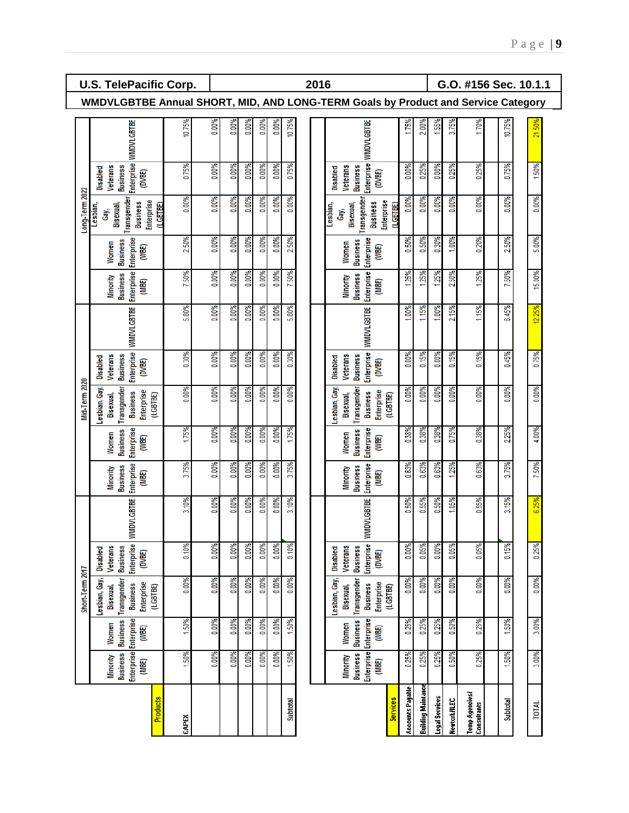|                 | U.S. TelePacific Corp.<br>2016<br>G.O. #156 Sec. 10.1.1                                   |        |       |       |       |       |       |          |  |  |                                                                 |                        |                         |                    |                |              |                              |                 |        |
|-----------------|-------------------------------------------------------------------------------------------|--------|-------|-------|-------|-------|-------|----------|--|--|-----------------------------------------------------------------|------------------------|-------------------------|--------------------|----------------|--------------|------------------------------|-----------------|--------|
|                 | WMDVLGBTBE Annual SHORT, MID, AND LONG-TERM Goals by Product and Service Category         |        |       |       |       |       |       |          |  |  |                                                                 |                        |                         |                    |                |              |                              |                 |        |
|                 | <b>WMDVLGBTBE</b>                                                                         | 10.75% | 0.00% | 0.00% | 0.00% | 0.00% | 0.00% | 10.75%   |  |  | <b>WMDVLGBTBE</b>                                               |                        | 1.75%                   | 2.00%              | 1,55%          | 3.75%        | 70%                          | 10.75%          | 21.50% |
|                 | Enterprise<br><b>Business</b><br><b>Veterans</b><br>Disabled<br>(DVBE)                    | 0.75%  | 0.00% | 0.00% | 0.00% | 0.00% | 0.00% | 0.75%    |  |  | Enterprise<br><b>Business</b><br>Veterans<br>Disabled           | (DVBE)                 | 0.00%                   | 0.25%              | 0.00%          | 0.25%        | 0.25%                        | 0.75%           | 50%    |
| Long-Term 2022  | Transgender<br>Enterprise<br><b>Business</b><br>Lesbian,<br>Bisexual,<br>(LGBTBE)<br>Ĝay, | 0.00%  | 0.00% | 0.00% | 0.00% | 0.00% | 0.00% | 0.00%    |  |  | Transgender<br><b>Business</b><br>Bisexual,<br>Lesbian,<br>Gay, | Enterprise<br>(LGBTBE) | 0.00%                   | 0.00%              | 0.00%          | .00%<br>ö    | 0.00%                        | .00%            | 0.00%  |
|                 | Enterprise<br><b>Business</b><br>Women<br>(WBE)                                           | 2.50%  | 0.00% | 0.00% | 0.00% | 0.00% | 0.00% | 2.50%    |  |  | <b>Enterprise</b><br><b>Business</b><br>Women                   | (WBE)                  | 50%<br>õ                | 0.50%              | 0.30%          | .00%         | 0.20%                        | 2.50%           | 5.00%  |
|                 | Enterprise<br><b>Business</b><br><b>Minority</b><br>(MBE)                                 | 7.50%  | 0.00% | 0.00% | 0.00% | 0.00% | 0.00% | 7.50%    |  |  | Enterprise<br><b>Business</b><br>Minority                       | (MBE)                  | 1,25%                   | 25%                | 1.25%          | 2.50%        | 25%                          | .50%            | 15.00% |
|                 | <b>WMDVLGBTBE</b>                                                                         | 5.80%  | 0.00% | 0.00% | 0.00% | 0.00% | 0.00% | 5.80%    |  |  | <b>WMDVLGBTBE</b>                                               |                        | 00%                     | 1.15%              | 1.00%          | 2.15%        | 1,15%                        | 6.45%           | 12.25% |
|                 | Enterprise<br><b>Business</b><br>Veterans<br>Disabled<br>(DVBE)                           | 0.30%  | 0.00% | 0.00% | 0.00% | 0.00% | 0.00% | 0.30%    |  |  | Enterprise<br><b>Business</b><br>Veterans<br>Disabled           | (DVBE)                 | 0.00%                   | 0.15%              | 0.00%          | 0.15%        | 0.15%                        | 0.45%           | 0.75%  |
| Mid-Term 2020   | Lesbian, Gay,<br>Transgender<br>Enterprise<br><b>Business</b><br>Bisexual,<br>(LGBTBE)    | 0.00%  | 0.00% | 0.00% | 0.00% | 0.00% | 0.00% | 0.00%    |  |  | Lesbian, Gay,<br>Transgender<br><b>Business</b><br>Bisexual,    | Enterprise<br>(LGBTBE) | 0.00%                   | 0.00%              | 0.00%          | 0.00%        | 0.00%                        | 0.00%           | 0.00%  |
|                 | Enterprise<br><b>Business</b><br>Women<br>(WBE)                                           | 1.75%  | 0.00% | 0.00% | 0.00% | 0.00% | 0.00% | 1.75%    |  |  | Enterprise<br><b>Business</b><br>Women                          | (WBE)                  | 0.38%                   | 0.38%              | 0.38%          | 0.75%        | 0.38%                        | 2.25%           | 4.00%  |
|                 | Enterprise<br><b>Business</b><br><b>Minority</b><br>(MBE)                                 | 3.75%  | 0.00% | 0.00% | 0.00% | 0.00% | 0.00% | 3.75%    |  |  | Enterprise<br><b>Business</b><br>Minority                       | (MBE)                  | 0.63%                   | 0.63%              | 0.63%          | 1.25%        | 0.63%                        | 3.75%           | 7.50%  |
|                 | <b>WMDVLGBTBE</b>                                                                         | 3.10%  | 0.00% | 0.00% | 0.00% | 0.00% | 0.00% | 3.10%    |  |  | <b>WMDVLGBTBE</b>                                               |                        | 0.50%                   | 0.55%              | 0.50%          | 1.05%        | 0.55%                        | 3.15%           | 6.25%  |
|                 | Enterprise<br><b>Business</b><br>Veterans<br>Disabled<br>(DVBE)                           | 0.10%  | 0.00% | 0.00% | 0.00% | 0.00% | 0.00% | 0.10%    |  |  | Enterprise<br><b>Veterans</b><br><b>Business</b><br>Disabled    | (DVBE)                 | 0.00%                   | 0.05%              | 0.00%          | 0.05%        | 0.05%                        | 0.15%           | 0.25%  |
| Short-Term 2017 | Transgender<br>Lesbian, Gay,<br>Enterprise<br><b>Business</b><br>Bisexual,<br>(LGBTBE)    | 0.00%  | 0.00% | 0.00% | 0.00% | 0.00% | 0.00% | 0.00%    |  |  | Lesbian, Gay,<br>Transgender<br><b>Business</b><br>Bisexual,    | Enterprise<br>(LGBTBE) | 0.00%                   | 0.00%              | 0.00%          | 0.00%        | 0.00%                        | 0.00%           | 0.00%  |
|                 | <b>Business</b><br>Women<br>(WBE)                                                         | 1.50%  | 0.00% | 0.00% | 0.00% | 0.00% | 0.00% | 1.50%    |  |  | <b>Enterprise</b> Enterprise<br><b>Business</b><br>Women        | (WBE)                  | 0.25%                   | 0.25%              | 0.25%          | 0.50%        | 0.25%                        | 1.50%           | 3.00%  |
|                 | Enterprise Enterprise<br><b>Business</b><br>Minority<br>(MBE)                             | 1.50%  | 0.00% | 0.00% | 0.00% | 0.00% | 0.00% | 1.50%    |  |  | <b>Business</b><br>Minority                                     | (MBE)                  | 0.25%                   | 0.25%              | 0.25%          | 0.50%        | 0.25%                        | 1.50%           | 3.00%  |
|                 | <b>Products</b>                                                                           | CAPEX  |       |       |       |       |       | Subtotal |  |  |                                                                 | <b>Services</b>        | <b>Accounts Pagable</b> | Building Maintance | Legal Services | Newtork/ILEC | Temp Agencies<br>Consultants | <b>Subtotal</b> | TOTAL  |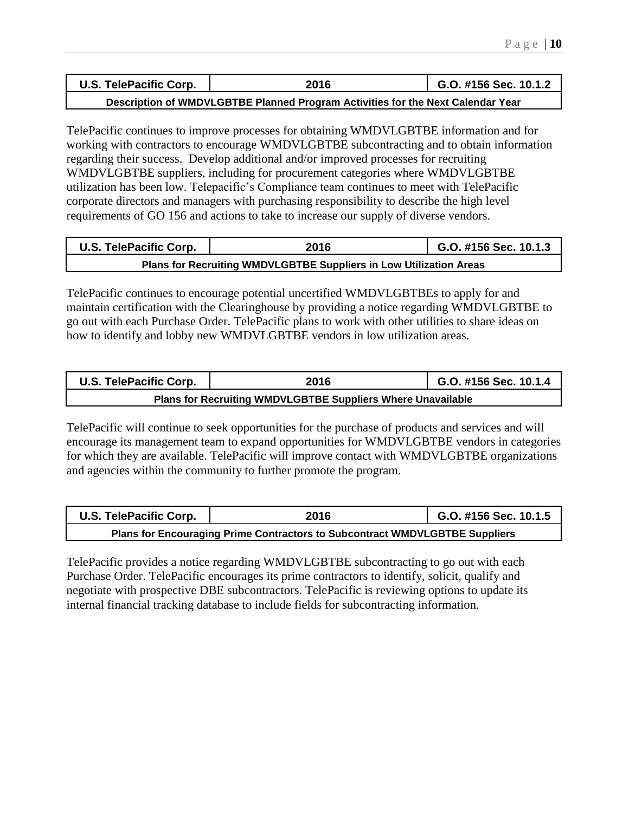| U.S. TelePacific Corp. | 2016      | G.O. #156 Sec. 10.1.2               |
|------------------------|-----------|-------------------------------------|
|                        | _________ | the property of the property of the |

**Description of WMDVLGBTBE Planned Program Activities for the Next Calendar Year**

TelePacific continues to improve processes for obtaining WMDVLGBTBE information and for working with contractors to encourage WMDVLGBTBE subcontracting and to obtain information regarding their success. Develop additional and/or improved processes for recruiting WMDVLGBTBE suppliers, including for procurement categories where WMDVLGBTBE utilization has been low. Telepacific's Compliance team continues to meet with TelePacific corporate directors and managers with purchasing responsibility to describe the high level requirements of GO 156 and actions to take to increase our supply of diverse vendors.

| U.S. TelePacific Corp.                                             | 2016 |  |  |  |  |
|--------------------------------------------------------------------|------|--|--|--|--|
| Plans for Recruiting WMDVLGBTBE Suppliers in Low Utilization Areas |      |  |  |  |  |

TelePacific continues to encourage potential uncertified WMDVLGBTBEs to apply for and maintain certification with the Clearinghouse by providing a notice regarding WMDVLGBTBE to go out with each Purchase Order. TelePacific plans to work with other utilities to share ideas on how to identify and lobby new WMDVLGBTBE vendors in low utilization areas.

| U.S. TelePacific Corp.                                             | G.O. #156 Sec. 10.1.4 |  |  |  |  |
|--------------------------------------------------------------------|-----------------------|--|--|--|--|
| <b>Plans for Recruiting WMDVLGBTBE Suppliers Where Unavailable</b> |                       |  |  |  |  |

TelePacific will continue to seek opportunities for the purchase of products and services and will encourage its management team to expand opportunities for WMDVLGBTBE vendors in categories for which they are available. TelePacific will improve contact with WMDVLGBTBE organizations and agencies within the community to further promote the program.

| U.S. TelePacific Corp.                                                      | 2016 | G.O. #156 Sec. 10.1.5 |  |
|-----------------------------------------------------------------------------|------|-----------------------|--|
| Plans for Encouraging Prime Contractors to Subcontract WMDVLGBTBE Suppliers |      |                       |  |

TelePacific provides a notice regarding WMDVLGBTBE subcontracting to go out with each Purchase Order. TelePacific encourages its prime contractors to identify, solicit, qualify and negotiate with prospective DBE subcontractors. TelePacific is reviewing options to update its internal financial tracking database to include fields for subcontracting information.